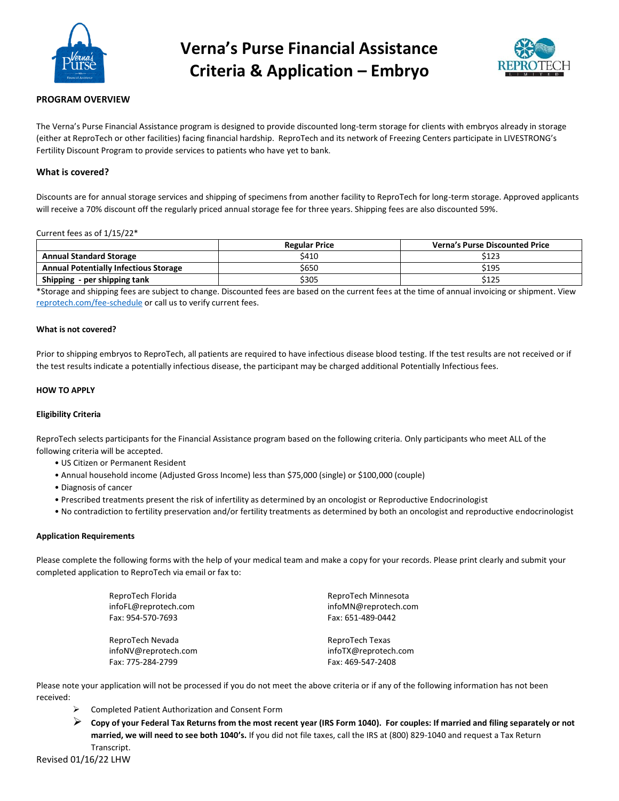

# **Verna's Purse Financial Assistance Criteria & Application – Embryo**



# **PROGRAM OVERVIEW**

The Verna's Purse Financial Assistance program is designed to provide discounted long-term storage for clients with embryos already in storage (either at ReproTech or other facilities) facing financial hardship. ReproTech and its network of Freezing Centers participate in LIVESTRONG's Fertility Discount Program to provide services to patients who have yet to bank.

### **What is covered?**

Discounts are for annual storage services and shipping of specimens from another facility to ReproTech for long-term storage. Approved applicants will receive a 70% discount off the regularly priced annual storage fee for three years. Shipping fees are also discounted 59%.

#### Current fees as of 1/15/22\*

|                                              | <b>Regular Price</b> | <b>Verna's Purse Discounted Price</b> |
|----------------------------------------------|----------------------|---------------------------------------|
| <b>Annual Standard Storage</b>               | S410                 | \$123                                 |
| <b>Annual Potentially Infectious Storage</b> | \$650                | \$195                                 |
| Shipping - per shipping tank                 | \$305                | \$125                                 |

\*Storage and shipping fees are subject to change. Discounted fees are based on the current fees at the time of annual invoicing or shipment. View [reprotech.com/fee-schedule](https://www.reprotech.com/fee-schedule/) or call us to verify current fees.

#### **What is not covered?**

Prior to shipping embryos to ReproTech, all patients are required to have infectious disease blood testing. If the test results are not received or if the test results indicate a potentially infectious disease, the participant may be charged additional Potentially Infectious fees.

#### **HOW TO APPLY**

#### **Eligibility Criteria**

ReproTech selects participants for the Financial Assistance program based on the following criteria. Only participants who meet ALL of the following criteria will be accepted.

- US Citizen or Permanent Resident
- Annual household income (Adjusted Gross Income) less than \$75,000 (single) or \$100,000 (couple)
- Diagnosis of cancer
- Prescribed treatments present the risk of infertility as determined by an oncologist or Reproductive Endocrinologist
- No contradiction to fertility preservation and/or fertility treatments as determined by both an oncologist and reproductive endocrinologist

#### **Application Requirements**

Please complete the following forms with the help of your medical team and make a copy for your records. Please print clearly and submit your completed application to ReproTech via email or fax to:

| ReproTech Florida    | ReproTech Minnesota  |
|----------------------|----------------------|
| infoFL@reprotech.com | infoMN@reprotech.com |
| Fax: 954-570-7693    | Fax: 651-489-0442    |
| ReproTech Nevada     | ReproTech Texas      |
| infoNV@reprotech.com | infoTX@reprotech.com |
| Fax: 775-284-2799    | Fax: 469-547-2408    |

Please note your application will not be processed if you do not meet the above criteria or if any of the following information has not been received:

- ➢ Completed Patient Authorization and Consent Form
- ➢ **Copy of your Federal Tax Returns from the most recent year (IRS Form 1040). For couples: If married and filing separately or not married, we will need to see both 1040's.** If you did not file taxes, call the IRS at (800) 829-1040 and request a Tax Return Transcript.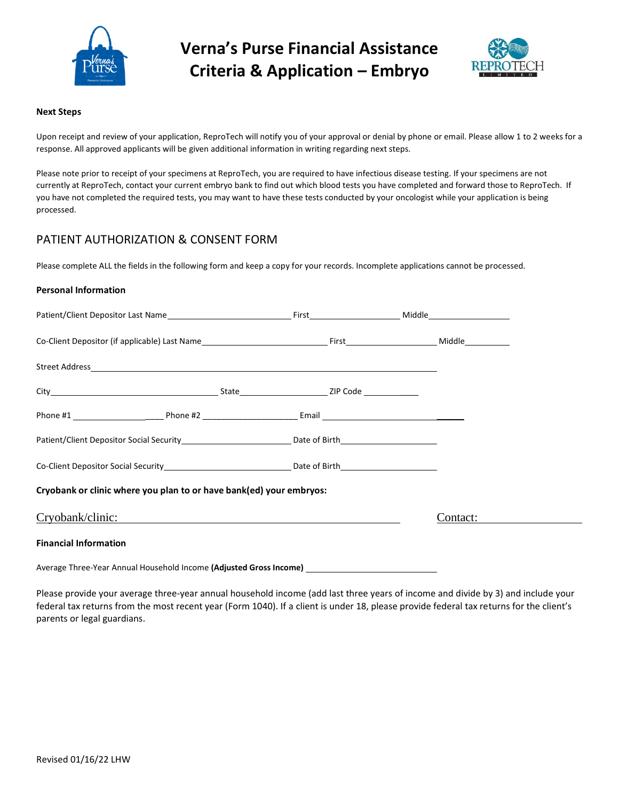

**Verna's Purse Financial Assistance Criteria & Application – Embryo**



# **Next Steps**

Upon receipt and review of your application, ReproTech will notify you of your approval or denial by phone or email. Please allow 1 to 2 weeks for a response. All approved applicants will be given additional information in writing regarding next steps.

Please note prior to receipt of your specimens at ReproTech, you are required to have infectious disease testing. If your specimens are not currently at ReproTech, contact your current embryo bank to find out which blood tests you have completed and forward those to ReproTech. If you have not completed the required tests, you may want to have these tests conducted by your oncologist while your application is being processed.

# PATIENT AUTHORIZATION & CONSENT FORM

Please complete ALL the fields in the following form and keep a copy for your records. Incomplete applications cannot be processed.

# **Personal Information**

| Street Address and the contract of the contract of the contract of the contract of the contract of the contract of the contract of the contract of the contract of the contract of the contract of the contract of the contrac |  |          |
|--------------------------------------------------------------------------------------------------------------------------------------------------------------------------------------------------------------------------------|--|----------|
|                                                                                                                                                                                                                                |  |          |
|                                                                                                                                                                                                                                |  |          |
| Patient/Client Depositor Social Security_________________________________Date of Birth________________________                                                                                                                 |  |          |
| Co-Client Depositor Social Security ___________________________________Date of Birth _________________________                                                                                                                 |  |          |
| Cryobank or clinic where you plan to or have bank(ed) your embryos:                                                                                                                                                            |  |          |
| Cryobank/clinic:                                                                                                                                                                                                               |  | Contact: |
| <b>Financial Information</b>                                                                                                                                                                                                   |  |          |
| Average Three-Year Annual Household Income (Adjusted Gross Income) ________________________________                                                                                                                            |  |          |

Please provide your average three-year annual household income (add last three years of income and divide by 3) and include your federal tax returns from the most recent year (Form 1040). If a client is under 18, please provide federal tax returns for the client's parents or legal guardians.